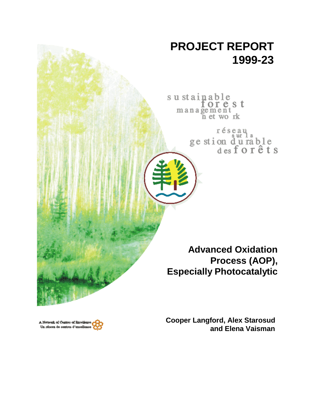# **PROJECT REPORT 1999-23**

sustainable forest management n et work

> réseau ge stion durable<br>desforêts

**Advanced Oxidation Process (AOP), Especially Photocatalytic**

A Network of Centres of Baceliance Un réseau de centres d'excellence

**Cooper Langford, Alex Starosud and Elena Vaisman**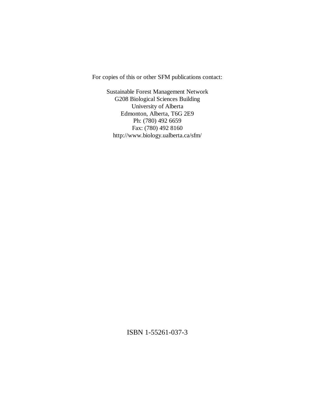For copies of this or other SFM publications contact:

Sustainable Forest Management Network G208 Biological Sciences Building University of Alberta Edmonton, Alberta, T6G 2E9 Ph: (780) 492 6659 Fax: (780) 492 8160 http://www.biology.ualberta.ca/sfm/

ISBN 1-55261-037-3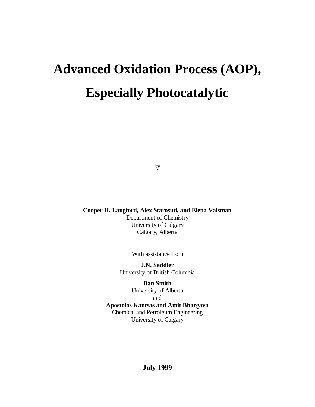# **Advanced Oxidation Process (AOP), Especially Photocatalytic**

by

**Cooper H. Langford, Alex Starosud, and Elena Vaisman** Department of Chemistry University of Calgary Calgary, Alberta

With assistance from

**J.N. Saddler** University of British Columbia

**Dan Smith** University of Alberta and **Apostolos Kantsas and Amit Bhargava** Chemical and Petroleum Engineering University of Calgary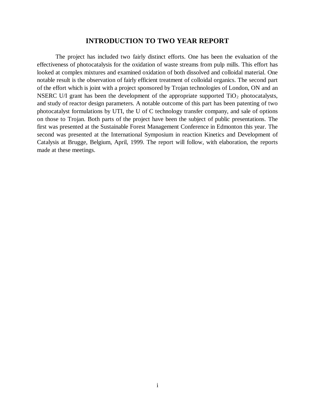# **INTRODUCTION TO TWO YEAR REPORT**

The project has included two fairly distinct efforts. One has been the evaluation of the effectiveness of photocatalysis for the oxidation of waste streams from pulp mills. This effort has looked at complex mixtures and examined oxidation of both dissolved and colloidal material. One notable result is the observation of fairly efficient treatment of colloidal organics. The second part of the effort which is joint with a project sponsored by Trojan technologies of London, ON and an NSERC U/I grant has been the development of the appropriate supported  $TiO<sub>2</sub>$  photocatalysts, and study of reactor design parameters. A notable outcome of this part has been patenting of two photocatalyst formulations by UTI, the U of C technology transfer company, and sale of options on those to Trojan. Both parts of the project have been the subject of public presentations. The first was presented at the Sustainable Forest Management Conference in Edmonton this year. The second was presented at the International Symposium in reaction Kinetics and Development of Catalysis at Brugge, Belgium, April, 1999. The report will follow, with elaboration, the reports made at these meetings.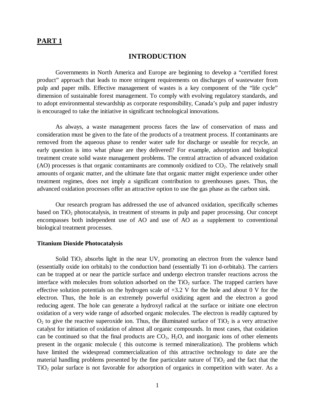# **PART 1**

# **INTRODUCTION**

Governments in North America and Europe are beginning to develop a "certified forest product" approach that leads to more stringent requirements on discharges of wastewater from pulp and paper mills. Effective management of wastes is a key component of the "life cycle" dimension of sustainable forest management. To comply with evolving regulatory standards, and to adopt environmental stewardship as corporate responsibility, Canada's pulp and paper industry is encouraged to take the initiative in significant technological innovations.

As always, a waste management process faces the law of conservation of mass and consideration must be given to the fate of the products of a treatment process. If contaminants are removed from the aqueous phase to render water safe for discharge or useable for recycle, an early question is into what phase are they delivered? For example, adsorption and biological treatment create solid waste management problems. The central attraction of advanced oxidation (AO) processes is that organic contaminants are commonly oxidized to  $CO<sub>2</sub>$ . The relatively small amounts of organic matter, and the ultimate fate that organic matter might experience under other treatment regimes, does not imply a significant contribution to greenhouses gases. Thus, the advanced oxidation processes offer an attractive option to use the gas phase as the carbon sink.

Our research program has addressed the use of advanced oxidation, specifically schemes based on  $TiO<sub>2</sub>$  photocatalysis, in treatment of streams in pulp and paper processing. Our concept encompasses both independent use of AO and use of AO as a supplement to conventional biological treatment processes.

#### **Titanium Dioxide Photocatalysis**

Solid  $TiO<sub>2</sub>$  absorbs light in the near UV, promoting an electron from the valence band (essentially oxide ion orbitals) to the conduction band (essentially Ti ion d-orbitals). The carriers can be trapped at or near the particle surface and undergo electron transfer reactions across the interface with molecules from solution adsorbed on the  $TiO<sub>2</sub>$  surface. The trapped carriers have effective solution potentials on the hydrogen scale of  $+3.2$  V for the hole and about 0 V for the electron. Thus, the hole is an extremely powerful oxidizing agent and the electron a good reducing agent. The hole can generate a hydroxyl radical at the surface or initiate one electron oxidation of a very wide range of adsorbed organic molecules. The electron is readily captured by  $O_2$  to give the reactive superoxide ion. Thus, the illuminated surface of TiO<sub>2</sub> is a very attractive catalyst for initiation of oxidation of almost all organic compounds. In most cases, that oxidation can be continued so that the final products are  $CO<sub>2</sub>$ ,  $H<sub>2</sub>O$ , and inorganic ions of other elements present in the organic molecule ( this outcome is termed mineralization). The problems which have limited the widespread commercialization of this attractive technology to date are the material handling problems presented by the fine particulate nature of  $TiO<sub>2</sub>$  and the fact that the  $TiO<sub>2</sub>$  polar surface is not favorable for adsorption of organics in competition with water. As a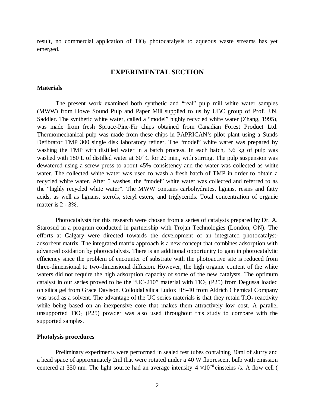result, no commercial application of  $TiO<sub>2</sub>$  photocatalysis to aqueous waste streams has yet emerged.

## **EXPERIMENTAL SECTION**

#### **Materials**

The present work examined both synthetic and "real" pulp mill white water samples (MWW) from Howe Sound Pulp and Paper Mill supplied to us by UBC group of Prof. J.N. Saddler. The synthetic white water, called a "model" highly recycled white water (Zhang, 1995), was made from fresh Spruce-Pine-Fir chips obtained from Canadian Forest Product Ltd. Thermomechanical pulp was made from these chips in PAPRICAN's pilot plant using a Sunds Defibrator TMP 300 single disk laboratory refiner. The "model" white water was prepared by washing the TMP with distilled water in a batch process. In each batch, 3.6 kg of pulp was washed with 180 L of distilled water at  $60^{\circ}$  C for 20 min., with stirring. The pulp suspension was dewatered using a screw press to about 45% consistency and the water was collected as white water. The collected white water was used to wash a fresh batch of TMP in order to obtain a recycled white water. After 5 washes, the "model" white water was collected and referred to as the "highly recycled white water". The MWW contains carbohydrates, lignins, resins and fatty acids, as well as lignans, sterols, steryl esters, and triglycerids. Total concentration of organic matter is  $2 - 3\%$ .

Photocatalysts for this research were chosen from a series of catalysts prepared by Dr. A. Starosud in a program conducted in partnership with Trojan Technologies (London, ON). The efforts at Calgary were directed towards the development of an integrated photocatalystadsorbent matrix. The integrated matrix approach is a new concept that combines adsorption with advanced oxidation by photocatalysis. There is an additional opportunity to gain in photocatalytic efficiency since the problem of encounter of substrate with the photoactive site is reduced from three-dimensional to two-dimensional diffusion. However, the high organic content of the white waters did not require the high adsorption capacity of some of the new catalysts. The optimum catalyst in our series proved to be the "UC-210" material with  $TiO<sub>2</sub>$  (P25) from Degussa loaded on silica gel from Grace Davison. Colloidal silica Ludox HS-40 from Aldrich Chemical Company was used as a solvent. The advantage of the UC series materials is that they retain  $TiO<sub>2</sub>$  reactivity while being based on an inexpensive core that makes them attractively low cost. A parallel unsupported  $TiO<sub>2</sub>$  (P25) powder was also used throughout this study to compare with the supported samples.

#### **Photolysis procedures**

Preliminary experiments were performed in sealed test tubes containing 30ml of slurry and a head space of approximately 2ml that were rotated under a 40 W fluorescent bulb with emission centered at 350 nm. The light source had an average intensity  $4 \times 10^{-8}$  einsteins /s. A flow cell (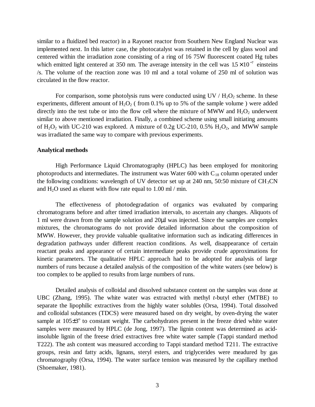similar to a fluidized bed reactor) in a Rayonet reactor from Southern New England Nuclear was implemented next. In this latter case, the photocatalyst was retained in the cell by glass wool and centered within the irradiation zone consisting of a ring of 16 75W fluorescent coated Hg tubes which emitted light centered at 350 nm. The average intensity in the cell was  $1.5 \times 10^{-7}$  einsteins /s. The volume of the reaction zone was 10 ml and a total volume of 250 ml of solution was circulated in the flow reactor.

For comparison, some photolysis runs were conducted using UV  $/ H_2O_2$  scheme. In these experiments, different amount of  $H_2O_2$  (from 0.1% up to 5% of the sample volume) were added directly into the test tube or into the flow cell where the mixture of MWW and  $H_2O_2$  underwent similar to above mentioned irradiation. Finally, a combined scheme using small initiating amounts of  $H_2O_2$  with UC-210 was explored. A mixture of 0.2g UC-210, 0.5%  $H_2O_2$ , and MWW sample was irradiated the same way to compare with previous experiments.

#### **Analytical methods**

High Performance Liquid Chromatography (HPLC) has been employed for monitoring photoproducts and intermediates. The instrument was Water  $600$  with  $C_{18}$  column operated under the following conditions: wavelength of UV detector set up at 240 nm, 50:50 mixture of  $CH_3CN$ and  $H_2O$  used as eluent with flow rate equal to 1.00 ml / min.

The effectiveness of photodegradation of organics was evaluated by comparing chromatograms before and after timed irradiation intervals, to ascertain any changes. Aliquots of 1 ml were drawn from the sample solution and 20µl was injected. Since the samples are complex mixtures, the chromatograms do not provide detailed information about the composition of MWW. However, they provide valuable qualitative information such as indicating differences in degradation pathways under different reaction conditions. As well, disappearance of certain reactant peaks and appearance of certain intermediate peaks provide crude approximations for kinetic parameters. The qualitative HPLC approach had to be adopted for analysis of large numbers of runs because a detailed analysis of the composition of the white waters (see below) is too complex to be applied to results from large numbers of runs.

Detailed analysis of colloidal and dissolved substance content on the samples was done at UBC (Zhang, 1995). The white water was extracted with methyl *t*-butyl ether (MTBE) to separate the lipophilic extractives from the highly water solubles (Orsa, 1994). Total dissolved and colloidal substances (TDCS) were measured based on dry weight, by oven-drying the water sample at 105±3° to constant weight. The carbohydrates present in the freeze dried white water samples were measured by HPLC (de Jong, 1997). The lignin content was determined as acidinsoluble lignin of the freese dried extractives free white water sample (Tappi standard method T222). The ash content was measured according to Tappi standard method T211. The extractive groups, resin and fatty acids, lignans, steryl esters, and triglycerides were meadured by gas chromatography (Orsa, 1994). The water surface tension was measured by the capillary method (Shoemaker, 1981).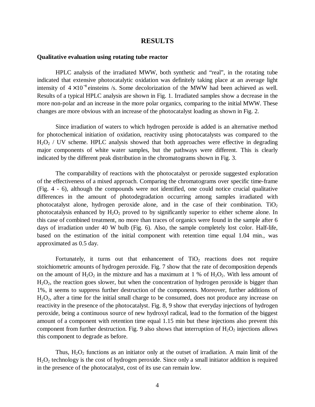#### **RESULTS**

#### **Qualitative evaluation using rotating tube reactor**

HPLC analysis of the irradiated MWW, both synthetic and "real", in the rotating tube indicated that extensive photocatalytic oxidation was definitely taking place at an average light intensity of  $4 \times 10^{-8}$  einsteins /s. Some decolorization of the MWW had been achieved as well. Results of a typical HPLC analysis are shown in Fig. 1. Irradiated samples show a decrease in the more non-polar and an increase in the more polar organics, comparing to the initial MWW. These changes are more obvious with an increase of the photocatalyst loading as shown in Fig. 2.

Since irradiation of waters to which hydrogen peroxide is added is an alternative method for photochemical initiation of oxidation, reactivity using photocatalysts was compared to the  $H_2O_2$  / UV scheme. HPLC analysis showed that both approaches were effective in degrading major components of white water samples, but the pathways were different. This is clearly indicated by the different peak distribution in the chromatograms shown in Fig. 3.

The comparability of reactions with the photocatalyst or peroxide suggested exploration of the effectiveness of a mixed approach. Comparing the chromatograms over specific time-frame (Fig. 4 - 6), although the compounds were not identified, one could notice crucial qualitative differences in the amount of photodegradation occurring among samples irradiated with photocatalyst alone, hydrogen peroxide alone, and in the case of their combination.  $TiO<sub>2</sub>$ photocatalysis enhanced by  $H_2O_2$  proved to by significantly superior to either scheme alone. In this case of combined treatment, no more than traces of organics were found in the sample after 6 days of irradiation under 40 W bulb (Fig. 6). Also, the sample completely lost color. Half-life, based on the estimation of the initial component with retention time equal 1.04 min., was approximated as 0.5 day.

Fortunately, it turns out that enhancement of  $TiO<sub>2</sub>$  reactions does not require stoichiometric amounts of hydrogen peroxide. Fig. 7 show that the rate of decomposition depends on the amount of  $H_2O_2$  in the mixture and has a maximum at 1 % of  $H_2O_2$ . With less amount of  $H_2O_2$ , the reaction goes slower, but when the concentration of hydrogen peroxide is bigger than 1%, it seems to suppress further destruction of the components. Moreover, further additions of  $H<sub>2</sub>O<sub>2</sub>$ , after a time for the initial small charge to be consumed, does not produce any increase on reactivity in the presence of the photocatalyst. Fig. 8, 9 show that everyday injections of hydrogen peroxide, being a continuous source of new hydroxyl radical, lead to the formation of the biggest amount of a component with retention time equal 1.15 min but these injections also prevent this component from further destruction. Fig. 9 also shows that interruption of  $H_2O_2$  injections allows this component to degrade as before.

Thus,  $H_2O_2$  functions as an initiator only at the outset of irradiation. A main limit of the  $H_2O_2$  technology is the cost of hydrogen peroxide. Since only a small initiator addition is required in the presence of the photocatalyst, cost of its use can remain low.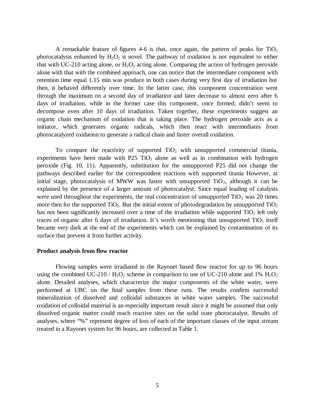A remarkable feature of figures 4-6 is that, once again, the pattern of peaks for  $TiO<sub>2</sub>$ photocatalysis enhanced by  $H_2O_2$  is novel. The pathway of oxidation is not equivalent to either that with UC-210 acting alone, or  $H_2O_2$  acting alone. Comparing the action of hydrogen peroxide alone with that with the combined approach, one can notice that the intermediate component with retention time equal 1.15 min was produce in both cases during very first day of irradiation but then, it behaved differently over time. In the latter case, this component concentration went through the maximum on a second day of irradiation and later decrease to almost zero after 6 days of irradiation, while in the former case this component, once formed, didn't seem to decompose even after 10 days of irradiation. Taken together, these experiments suggest an organic chain mechanism of oxidation that is taking place. The hydrogen peroxide acts as a initiator, which generates organic radicals, which then react with intermediates from photocatalyzed oxidation to generate a radical chain and faster overall oxidation.

To compare the reactivity of supported  $TiO<sub>2</sub>$  with unsupported commercial titania, experiments have been made with  $P25 TiO<sub>2</sub>$  alone as well as in combination with hydrogen peroxide (Fig. 10, 11). Apparently, substitution for the unsupported P25 did not change the pathways described earlier for the correspondent reactions with supported titania However, at initial stage, photocatalysis of MWW was faster with unsupported  $TiO<sub>2</sub>$ , although it can be explained by the presence of a larger amount of photocatalyst. Since equal loading of catalysts were used throughout the experiments, the real concentration of unsupported  $TiO<sub>2</sub>$  was 20 times more then for the supported  $TiO<sub>2</sub>$ . But the initial extent of photodegradation by unsupported  $TiO<sub>2</sub>$ has not been significantly increased over a time of the irradiation while supported  $TiO<sub>2</sub>$  left only traces of organic after 6 days of irradiation. It's worth mentioning that unsupported  $TiO<sub>2</sub>$  itself became very dark at the end of the experiments which can be explained by contamination of its surface that prevent it from further activity.

#### **Product analysis from flow reactor**

Flowing samples were irradiated in the Rayonet based flow reactor for up to 96 hours using the combined UC-210 /  $H_2O_2$  scheme in comparison to use of UC-210 alone and 1%  $H_2O_2$ alone. Detailed analyses, which characterize the major components of the white water, were performed at UBC on the final samples from these runs. The results confirm successful mineralization of dissolved and colloidal substances in white water samples. The successful oxidation of colloidal material is an especially important result since it might be assumed that only dissolved organic matter could reach reactive sites on the solid state photocatalyst. Results of analyses, where "%" represent degree of loss of each of the important classes of the input stream treated in a Rayonet system for 96 hours, are collected in Table 1.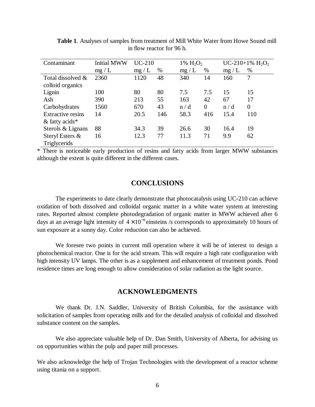| Contaminant              | <b>Initial MWW</b> | $UC-210$ |     | 1% $H_2O_2$ |          | $UC-210+1\%$ $H_2O_2$ |                |
|--------------------------|--------------------|----------|-----|-------------|----------|-----------------------|----------------|
|                          | mg/L               | mg/L     | %   | mg/L        | $\%$     | mg/L                  | %              |
| Total dissolved &        | 2360               | 1120     | 48  | 340         | 14       | 160                   | 7              |
| colloid organics         |                    |          |     |             |          |                       |                |
| Lignin                   | 100                | 80       | 80  | 7.5         | 7.5      | 15                    | 15             |
| Ash                      | 390                | 213      | 55  | 163         | 42       | 67                    | 17             |
| Carbohydrates            | 1560               | 670      | 43  | n/d         | $\theta$ | n/d                   | $\overline{0}$ |
| <b>Extractive resins</b> | 14                 | 20.5     | 146 | 58.3        | 416      | 15.4                  | 110            |
| $&$ fatty acids*         |                    |          |     |             |          |                       |                |
| Sterols & Lignans        | 88                 | 34.3     | 39  | 26.6        | 30       | 16.4                  | 19             |
| Steryl Esters &          | 16                 | 12.3     | 77  | 11.3        | 71       | 9.9                   | 62             |
| Triglycerids             |                    |          |     |             |          |                       |                |

**Table 1**. Analyses of samples from treatment of Mill White Water from Howe Sound mill in flow reactor for 96 h.

\* There is noticeable early production of resins and fatty acids from larger MWW substances although the extent is quite different in the different cases.

## **CONCLUSIONS**

The experiments to date clearly demonstrate that photocatalysis using UC-210 can achieve oxidation of both dissolved and colloidal organic matter in a white water system at interesting rates. Reported almost complete photodegradation of organic matter in MWW achieved after 6 days at an average light intensity of  $4 \times 10^{-8}$  einsteins /s corresponds to approximately 10 hours of sun exposure at a sunny day. Color reduction can also be achieved.

We foresee two points in current mill operation where it will be of interest to design a photochemical reactor. One is for the acid stream. This will require a high rate configuration with high intensity UV lamps. The other is as a supplement and enhancement of treatment ponds. Pond residence times are long enough to allow consideration of solar radiation as the light source.

# **ACKNOWLEDGMENTS**

We thank Dr. J.N. Saddler, University of British Columbia, for the assistance with solicitation of samples from operating mills and for the detailed analysis of colloidal and dissolved substance content on the samples.

We also appreciate valuable help of Dr. Dan Smith, University of Alberta, for advising us on opportunities within the pulp and paper mill processes.

We also acknowledge the help of Trojan Technologies with the development of a reactor scheme using titania on a support.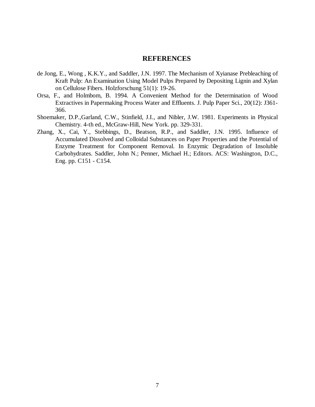# **REFERENCES**

- de Jong, E., Wong , K.K.Y., and Saddler, J.N. 1997. The Mechanism of Xyianase Prebleaching of Kraft Pulp: An Examination Using Model Pulps Prepared by Depositing Lignin and Xylan on Cellulose Fibers. Holzforschung 51(1): 19-26.
- Orsa, F., and Holmbom, B. 1994. A Convenient Method for the Determination of Wood Extractives in Papermaking Process Water and Effluents. J. Pulp Paper Sci., 20(12): J361- 366.
- Shoemaker, D.P.,Garland, C.W., Stinfield, J.I., and Nibler, J.W. 1981. Experiments in Physical Chemistry. 4-th ed., McGraw-Hill, New York. pp. 329-331.
- Zhang, X., Cai, Y., Stebbings, D., Beatson, R.P., and Saddler, J.N. 1995. Influence of Accumulated Dissolved and Colloidal Substances on Paper Properties and the Potential of Enzyme Treatment for Component Removal. In Enzymic Degradation of Insoluble Carbohydrates. Saddler, John N.; Penner, Michael H.; Editors. ACS: Washington, D.C., Eng. pp. C151 - C154.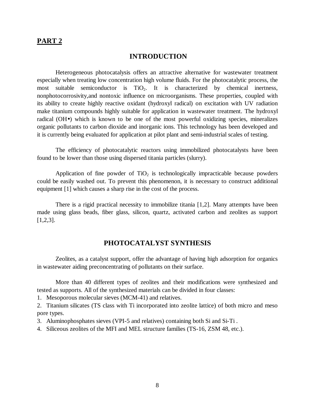# **PART 2**

# **INTRODUCTION**

Heterogeneous photocatalysis offers an attractive alternative for wastewater treatment especially when treating low concentration high volume fluids. For the photocatalytic process, the most suitable semiconductor is  $TiO<sub>2</sub>$ . It is characterized by chemical inertness, nonphotocorrosivity,and nontoxic influence on microorganisms. These properties, coupled with its ability to create highly reactive oxidant (hydroxyl radical) on excitation with UV radiation make titanium compounds highly suitable for application in wastewater treatment. The hydroxyl radical (OH•) which is known to be one of the most powerful oxidizing species, mineralizes organic pollutants to carbon dioxide and inorganic ions. This technology has been developed and it is currently being evaluated for application at pilot plant and semi-industrial scales of testing.

The efficiency of photocatalytic reactors using immobilized photocatalysts have been found to be lower than those using dispersed titania particles (slurry).

Application of fine powder of  $TiO<sub>2</sub>$  is technologically impracticable because powders could be easily washed out. To prevent this phenomenon, it is necessary to construct additional equipment [1] which causes a sharp rise in the cost of the process.

There is a rigid practical necessity to immobilize titania [1,2]. Many attempts have been made using glass beads, fiber glass, silicon, quartz, activated carbon and zeolites as support [1,2,3].

#### **PHOTOCATALYST SYNTHESIS**

Zeolites, as a catalyst support, offer the advantage of having high adsorption for organics in wastewater aiding preconcentrating of pollutants on their surface.

More than 40 different types of zeolites and their modifications were synthesized and tested as supports. All of the synthesized materials can be divided in four classes:

1. Mesoporous molecular sieves (MCM-41) and relatives.

2. Titanium silicates (TS class with Ti incorporated into zeolite lattice) of both micro and meso pore types.

3. Aluminophosphates sieves (VPI-5 and relatives) containing both Si and Si-Ti .

4. Siliceous zeolites of the MFI and MEL structure families (TS-16, ZSM 48, etc.).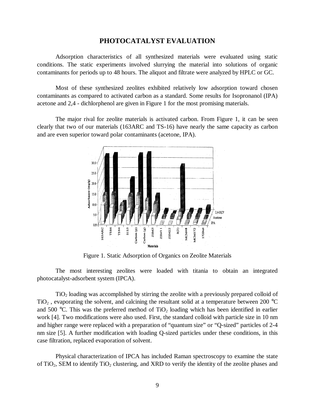# **PHOTOCATALYST EVALUATION**

Adsorption characteristics of all synthesized materials were evaluated using static conditions. The static experiments involved slurrying the material into solutions of organic contaminants for periods up to 48 hours. The aliquot and filtrate were analyzed by HPLC or GC.

Most of these synthesized zeolites exhibited relatively low adsorption toward chosen contaminants as compared to activated carbon as a standard. Some results for Isopronanol (IPA) acetone and 2,4 - dichlorphenol are given in Figure 1 for the most promising materials.

The major rival for zeolite materials is activated carbon. From Figure 1, it can be seen clearly that two of our materials (163ARC and TS-16) have nearly the same capacity as carbon and are even superior toward polar contaminants (acetone, IPA).



Figure 1. Static Adsorption of Organics on Zeolite Materials

The most interesting zeolites were loaded with titania to obtain an integrated photocatalyst-adsorbent system (IPCA).

TiO2 loading was accomplished by stirring the zeolite with a previously prepared colloid of  $TiO<sub>2</sub>$ , evaporating the solvent, and calcining the resultant solid at a temperature between 200 °C and 500 °C. This was the preferred method of  $TiO<sub>2</sub>$  loading which has been identified in earlier work [4]. Two modifications were also used. First, the standard colloid with particle size in 10 nm and higher range were replaced with a preparation of "quantum size" or "Q-sized" particles of 2-4 nm size [5]. A further modification with loading Q-sized particles under these conditions, in this case filtration, replaced evaporation of solvent.

Physical characterization of IPCA has included Raman spectroscopy to examine the state of TiO<sub>2</sub>, SEM to identify TiO<sub>2</sub> clustering, and XRD to verify the identity of the zeolite phases and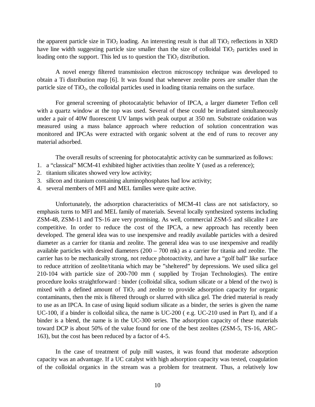the apparent particle size in  $TiO<sub>2</sub>$  loading. An interesting result is that all  $TiO<sub>2</sub>$  reflections in XRD have line width suggesting particle size smaller than the size of colloidal  $TiO<sub>2</sub>$  particles used in loading onto the support. This led us to question the  $TiO<sub>2</sub>$  distribution.

A novel energy filtered transmission electron microscopy technique was developed to obtain a Ti distribution map [6]. It was found that whenever zeolite pores are smaller than the particle size of  $TiO<sub>2</sub>$ , the colloidal particles used in loading titania remains on the surface.

For general screening of photocatalytic behavior of IPCA, a larger diameter Teflon cell with a quartz window at the top was used. Several of these could be irradiated simultaneously under a pair of 40W fluorescent UV lamps with peak output at 350 nm. Substrate oxidation was measured using a mass balance approach where reduction of solution concentration was monitored and IPCAs were extracted with organic solvent at the end of runs to recover any material adsorbed.

The overall results of screening for photocatalytic activity can be summarized as follows:

- 1. a "classical" MCM-41 exhibited higher activities than zeolite Y (used as a reference);
- 2. titanium silicates showed very low activity;
- 3. silicon and titanium containing aluminophosphates had low activity;
- 4. several members of MFI and MEL families were quite active.

Unfortunately, the adsorption characteristics of MCM-41 class are not satisfactory, so emphasis turns to MFI and MEL family of materials. Several locally synthesized systems including ZSM-48, ZSM-11 and TS-16 are very promising. As well, commercial ZSM-5 and silicalite I are competitive. In order to reduce the cost of the IPCA, a new approach has recently been developed. The general idea was to use inexpensive and readily available particles with a desired diameter as a carrier for titania and zeolite. The general idea was to use inexpensive and readily available particles with desired diameters (200 – 700 mk) as a carrier for titania and zeolite. The carrier has to be mechanically strong, not reduce photoactivity, and have a "golf ball" like surface to reduce attrition of zeolite/titania which may be "sheltered" by depressions. We used silica gel 210-104 with particle size of 200-700 mm ( supplied by Trojan Technologies). The entire procedure looks straightforward : binder (colloidal silica, sodium silicate or a blend of the two) is mixed with a defined amount of  $TiO<sub>2</sub>$  and zeolite to provide adsorption capacity for organic contaminants, then the mix is filtered through or slurred with silica gel. The dried material is ready to use as an IPCA. In case of using liquid sodium silicate as a binder, the series is given the name UC-100, if a binder is colloidal silica, the name is UC-200 ( e.g. UC-210 used in Part I), and if a binder is a blend, the name is in the UC-300 series. The adsorption capacity of these materials toward DCP is about 50% of the value found for one of the best zeolites (ZSM-5, TS-16, ARC-163), but the cost has been reduced by a factor of 4-5.

In the case of treatment of pulp mill wastes, it was found that moderate adsorption capacity was an advantage. If a UC catalyst with high adsorption capacity was tested, coagulation of the colloidal organics in the stream was a problem for treatment. Thus, a relatively low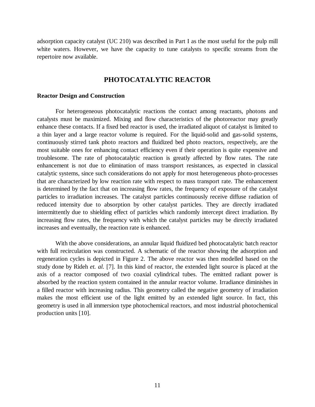adsorption capacity catalyst (UC 210) was described in Part I as the most useful for the pulp mill white waters. However, we have the capacity to tune catalysts to specific streams from the repertoire now available.

# **PHOTOCATALYTIC REACTOR**

#### **Reactor Design and Construction**

For heterogeneous photocatalytic reactions the contact among reactants, photons and catalysts must be maximized. Mixing and flow characteristics of the photoreactor may greatly enhance these contacts. If a fixed bed reactor is used, the irradiated aliquot of catalyst is limited to a thin layer and a large reactor volume is required. For the liquid-solid and gas-solid systems, continuously stirred tank photo reactors and fluidized bed photo reactors, respectively, are the most suitable ones for enhancing contact efficiency even if their operation is quite expensive and troublesome. The rate of photocatalytic reaction is greatly affected by flow rates. The rate enhancement is not due to elimination of mass transport resistances, as expected in classical catalytic systems, since such considerations do not apply for most heterogeneous photo-processes that are characterized by low reaction rate with respect to mass transport rate. The enhancement is determined by the fact that on increasing flow rates, the frequency of exposure of the catalyst particles to irradiation increases. The catalyst particles continuously receive diffuse radiation of reduced intensity due to absorption by other catalyst particles. They are directly irradiated intermittently due to shielding effect of particles which randomly intercept direct irradiation. By increasing flow rates, the frequency with which the catalyst particles may be directly irradiated increases and eventually, the reaction rate is enhanced.

With the above considerations, an annular liquid fluidized bed photocatalytic batch reactor with full recirculation was constructed. A schematic of the reactor showing the adsorption and regeneration cycles is depicted in Figure 2. The above reactor was then modelled based on the study done by Rideh *et. al.* [7]. In this kind of reactor, the extended light source is placed at the axis of a reactor composed of two coaxial cylindrical tubes. The emitted radiant power is absorbed by the reaction system contained in the annular reactor volume. Irradiance diminishes in a filled reactor with increasing radius. This geometry called the negative geometry of irradiation makes the most efficient use of the light emitted by an extended light source. In fact, this geometry is used in all immersion type photochemical reactors, and most industrial photochemical production units [10].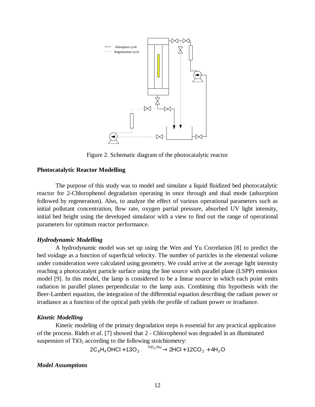

Figure 2. Schematic diagram of the photocatalytic reactor

#### **Photocatalytic Reactor Modelling**

The purpose of this study was to model and simulate a liquid fluidized bed photocatalytic reactor for 2-Chlorophenol degradation operating in once through and dual mode (adsorption followed by regeneration). Also, to analyze the effect of various operational parameters such as initial pollutant concentration, flow rate, oxygen partial pressure, absorbed UV light intensity, initial bed height using the developed simulator with a view to find out the range of operational parameters for optimum reactor performance.

#### *Hydrodynamic Modelling*

A hydrodynamic model was set up using the Wen and Yu Correlation [8] to predict the bed voidage as a function of superficial velocity. The number of particles in the elemental volume under consideration were calculated using geometry. We could arrive at the average light intensity reaching a photocatalyst particle surface using the line source with parallel plane (LSPP) emission model [9]. In this model, the lamp is considered to be a linear source in which each point emits radiation in parallel planes perpendicular to the lamp axis. Combining this hypothesis with the Beer-Lambert equation, the integration of the differential equation describing the radiant power or irradiance as a function of the optical path yields the profile of radiant power or irradiance.

#### *Kinetic Modelling*

Kinetic modeling of the primary degradation steps is essential for any practical application of the process. Rideh *et al*. [7] showed that 2 - Chlorophenol was degraded in an illuminated suspension of  $TiO<sub>2</sub>$  according to the following stoichiometry:

 $2C_6H_4OHCI + 13O_2 \xrightarrow{TiO_2/h_0} 2HCl + 12CO_2 + 4H_2O$ 

#### *Model Assumptions*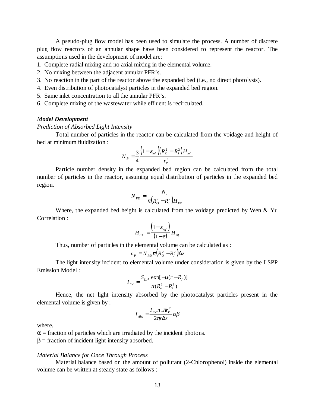A pseudo-plug flow model has been used to simulate the process. A number of discrete plug flow reactors of an annular shape have been considered to represent the reactor. The assumptions used in the development of model are:

- 1. Complete radial mixing and no axial mixing in the elemental volume.
- 2. No mixing between the adjacent annular PFR's.
- 3. No reaction in the part of the reactor above the expanded bed (i.e., no direct photolysis).
- 4. Even distribution of photocatalyst particles in the expanded bed region.
- 5. Same inlet concentration to all the annular PFR's.
- 6. Complete mixing of the wastewater while effluent is recirculated.

#### *Model Development*

*Prediction of Absorbed Light Intensity*

Total number of particles in the reactor can be calculated from the voidage and height of bed at minimum fluidization :

$$
N_P = \frac{3}{4} \frac{\left(1 - \varepsilon_{mf}\right)\left(R_o^2 - R_I^2\right)H_{mf}}{r_p^3}
$$

Particle number density in the expanded bed region can be calculated from the total number of particles in the reactor, assuming equal distribution of particles in the expanded bed region.

$$
N_{PD} = \frac{N_P}{\pi (R_O^2 - R_I^2) H_{EX}}
$$

Where, the expanded bed height is calculated from the voidage predicted by Wen & Yu Correlation :

$$
H_{EX} = \frac{\left(1 - \varepsilon_{\textit{\text{mf}}}\right)}{\left(1 - \varepsilon\right)} H_{\textit{\text{mf}}}
$$

Thus, number of particles in the elemental volume can be calculated as :

$$
n_{P} = N_{PD} \pi \left(R_{O}^{2} - R_{I}^{2}\right) \Delta z
$$

The light intensity incident to elemental volume under consideration is given by the LSPP Emission Model :

$$
I_{Inc} = \frac{S_{L;\lambda} \exp[-\mu(r - R_{I})]}{\pi (R_{o}^{2} - R_{I}^{2})}
$$

Hence, the net light intensity absorbed by the photocatalyst particles present in the elemental volume is given by :

$$
I_{Abs} = \frac{I_{Inc} n_p \pi r_p^2}{2\pi r \Delta z} \alpha \beta
$$

where,

 $\alpha$  = fraction of particles which are irradiated by the incident photons.  $β = fraction of incident light intensity absorbed.$ 

#### *Material Balance for Once Through Process*

Material balance based on the amount of pollutant (2-Chlorophenol) inside the elemental volume can be written at steady state as follows :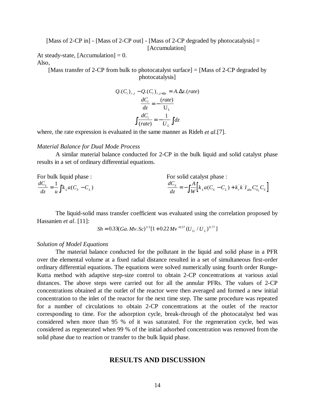[Mass of 2-CP in] - [Mass of 2-CP out] - [Mass of 2-CP degraded by photocatalysis] =

[Accumulation]

At steady-state,  $[Accumulation] = 0$ . Also,

> [Mass transfer of 2-CP from bulk to photocatalyst surface] = [Mass of 2-CP degraded by photocatalysis]

$$
Q.(C_i)_{r,z} - Q.(C_i)_{r,z+\Delta z} = A.\Delta z.(rate)
$$

$$
\frac{dC_i}{dz} = -\frac{(rate)}{U_L}
$$

$$
\int \frac{dC_i}{(rate)} = -\frac{1}{U_L} \int dz
$$

where, the rate expression is evaluated in the same manner as Rideh *et al*.[7].

#### *Material Balance for Dual Mode Process*

A similar material balance conducted for 2-CP in the bulk liquid and solid catalyst phase results in a set of ordinary differential equations.

| For bulk liquid phase :                                | For solid catalyst phase :                                                                         |
|--------------------------------------------------------|----------------------------------------------------------------------------------------------------|
| $\frac{dC_L}{dz} = \frac{1}{u} \int k_L a (C_s - C_L)$ | $\frac{dC_s}{dz} = -\int \frac{A}{W} \Big[ k_L a (C_s - C_L) + k_r k' I_{abs} C_{O_2}^n C_s \Big]$ |

The liquid-solid mass transfer coefficient was evaluated using the correlation proposed by Hassanien *et al*. [11]:

$$
Sh = 0.33(Ga. Mv. Sc)^{1/3}[1 + 0.22 Mv^{-0.57} (U_G / U_L)^{0.77}]
$$

#### *Solution of Model Equations*

The material balance conducted for the pollutant in the liquid and solid phase in a PFR over the elemental volume at a fixed radial distance resulted in a set of simultaneous first-order ordinary differential equations. The equations were solved numerically using fourth order Runge-Kutta method with adaptive step-size control to obtain 2-CP concentrations at various axial distances. The above steps were carried out for all the annular PFRs. The values of 2-CP concentrations obtained at the outlet of the reactor were then averaged and formed a new initial concentration to the inlet of the reactor for the next time step. The same procedure was repeated for a number of circulations to obtain 2-CP concentrations at the outlet of the reactor corresponding to time. For the adsorption cycle, break-through of the photocatalyst bed was considered when more than 95 % of it was saturated. For the regeneration cycle, bed was considered as regenerated when 99 % of the initial adsorbed concentration was removed from the solid phase due to reaction or transfer to the bulk liquid phase.

# **RESULTS AND DISCUSSION**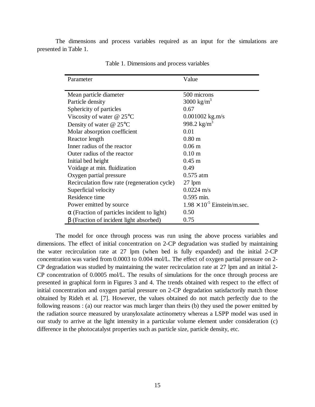The dimensions and process variables required as an input for the simulations are presented in Table 1.

| Parameter                                          | Value                                  |  |  |
|----------------------------------------------------|----------------------------------------|--|--|
|                                                    |                                        |  |  |
| Mean particle diameter                             | 500 microns                            |  |  |
| Particle density                                   | 3000 kg/ $m^3$                         |  |  |
| Sphericity of particles                            | 0.67                                   |  |  |
| Viscosity of water $@$ 25 $°C$                     | $0.001002 \text{ kg} \cdot \text{m/s}$ |  |  |
| Density of water $@$ 25 $°C$                       | 998.2 $\text{kg/m}^3$                  |  |  |
| Molar absorption coefficient                       | 0.01                                   |  |  |
| Reactor length                                     | 0.80 <sub>m</sub>                      |  |  |
| Inner radius of the reactor                        | 0.06 <sub>m</sub>                      |  |  |
| Outer radius of the reactor                        | 0.10 <sub>m</sub>                      |  |  |
| Initial bed height                                 | $0.45 \; \mathrm{m}$                   |  |  |
| Voidage at min. fluidization                       | 0.49                                   |  |  |
| Oxygen partial pressure                            | $0.575$ atm                            |  |  |
| Recirculation flow rate (regeneration cycle)       | $27 \text{ lpm}$                       |  |  |
| Superficial velocity                               | $0.0224 \text{ m/s}$                   |  |  |
| Residence time                                     | $0.595$ min.                           |  |  |
| Power emitted by source                            | $1.98 \times 10^{-5}$ Einstein/m.sec.  |  |  |
| $\alpha$ (Fraction of particles incident to light) | 0.50                                   |  |  |
| $\beta$ (Fraction of incident light absorbed)      | 0.75                                   |  |  |

Table 1. Dimensions and process variables

The model for once through process was run using the above process variables and dimensions. The effect of initial concentration on 2-CP degradation was studied by maintaining the water recirculation rate at 27 lpm (when bed is fully expanded) and the initial 2-CP concentration was varied from 0.0003 to 0.004 mol/L. The effect of oxygen partial pressure on 2- CP degradation was studied by maintaining the water recirculation rate at 27 lpm and an initial 2- CP concentration of 0.0005 mol/L. The results of simulations for the once through process are presented in graphical form in Figures 3 and 4. The trends obtained with respect to the effect of initial concentration and oxygen partial pressure on 2-CP degradation satisfactorily match those obtained by Rideh et al. [7]. However, the values obtained do not match perfectly due to the following reasons : (a) our reactor was much larger than theirs (b) they used the power emitted by the radiation source measured by uranyloxalate actinometry whereas a LSPP model was used in our study to arrive at the light intensity in a particular volume element under consideration (c) difference in the photocatalyst properties such as particle size, particle density, etc.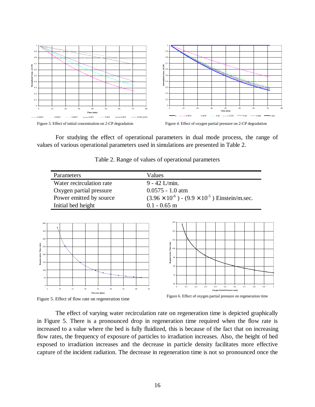

For studying the effect of operational parameters in dual mode process, the range of values of various operational parameters used in simulations are presented in Table 2.

|                               | Parameters                                         | Values                                                                                                   |  |  |  |  |
|-------------------------------|----------------------------------------------------|----------------------------------------------------------------------------------------------------------|--|--|--|--|
|                               | Water recirculation rate                           | 9 - 42 L/min.                                                                                            |  |  |  |  |
|                               | Oxygen partial pressure                            | $0.0575 - 1.0$ atm                                                                                       |  |  |  |  |
|                               | Power emitted by source                            | $(3.96 \times 10^{-6})$ - $(9.9 \times 10^{-5})$ Einstein/m.sec.                                         |  |  |  |  |
|                               | Initial bed height                                 | $0.1 - 0.65$ m                                                                                           |  |  |  |  |
|                               |                                                    |                                                                                                          |  |  |  |  |
| 400                           |                                                    | 130                                                                                                      |  |  |  |  |
| 350                           |                                                    | 120                                                                                                      |  |  |  |  |
| 300                           |                                                    |                                                                                                          |  |  |  |  |
|                               |                                                    | 110                                                                                                      |  |  |  |  |
| Regeneration Time (min<br>250 |                                                    | Regeneration Time (mir<br>100                                                                            |  |  |  |  |
| 200                           |                                                    | 90                                                                                                       |  |  |  |  |
| 150                           |                                                    | 80                                                                                                       |  |  |  |  |
| 100                           |                                                    | 70                                                                                                       |  |  |  |  |
| 50                            |                                                    |                                                                                                          |  |  |  |  |
|                               | 35<br>10<br>15<br>20<br>25<br>30<br>5              | 60<br>0.1<br>0.2<br>0.5<br>0.8<br>0.9<br>$\Omega$<br>0.3<br>0.4<br>0.6<br>0.7<br>40<br>45                |  |  |  |  |
|                               | Flowrate (lpm)                                     | <b>Oxygen Partial Pressure (atm)</b><br>Figure 6. Effect of oxygen partial pressure on regeneration time |  |  |  |  |
|                               | Figure 5. Effect of flow rate on regeneration time |                                                                                                          |  |  |  |  |

Table 2. Range of values of operational parameters

The effect of varying water recirculation rate on regeneration time is depicted graphically in Figure 5. There is a pronounced drop in regeneration time required when the flow rate is increased to a value where the bed is fully fluidized, this is because of the fact that on increasing flow rates, the frequency of exposure of particles to irradiation increases. Also, the height of bed exposed to irradiation increases and the decrease in particle density facilitates more effective capture of the incident radiation. The decrease in regeneration time is not so pronounced once the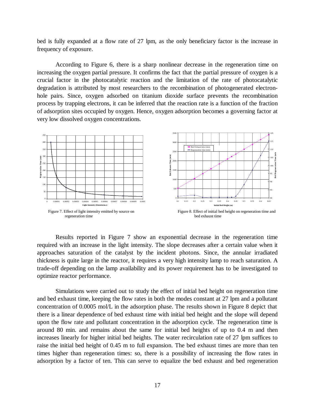bed is fully expanded at a flow rate of 27 lpm, as the only beneficiary factor is the increase in frequency of exposure.

According to Figure 6, there is a sharp nonlinear decrease in the regeneration time on increasing the oxygen partial pressure. It confirms the fact that the partial pressure of oxygen is a crucial factor in the photocatalytic reaction and the limitation of the rate of photocatalytic degradation is attributed by most researchers to the recombination of photogenerated electronhole pairs. Since, oxygen adsorbed on titanium dioxide surface prevents the recombination process by trapping electrons, it can be inferred that the reaction rate is a function of the fraction of adsorption sites occupied by oxygen. Hence, oxygen adsorption becomes a governing factor at very low dissolved oxygen concentrations.



Results reported in Figure 7 show an exponential decrease in the regeneration time required with an increase in the light intensity. The slope decreases after a certain value when it approaches saturation of the catalyst by the incident photons. Since, the annular irradiated thickness is quite large in the reactor, it requires a very high intensity lamp to reach saturation. A trade-off depending on the lamp availability and its power requirement has to be investigated to optimize reactor performance.

Simulations were carried out to study the effect of initial bed height on regeneration time and bed exhaust time, keeping the flow rates in both the modes constant at 27 lpm and a pollutant concentration of 0.0005 mol/L in the adsorption phase. The results shown in Figure 8 depict that there is a linear dependence of bed exhaust time with initial bed height and the slope will depend upon the flow rate and pollutant concentration in the adsorption cycle. The regeneration time is around 80 min. and remains about the same for initial bed heights of up to 0.4 m and then increases linearly for higher initial bed heights. The water recirculation rate of 27 lpm suffices to raise the initial bed height of 0.45 m to full expansion. The bed exhaust times are more than ten times higher than regeneration times: so, there is a possibility of increasing the flow rates in adsorption by a factor of ten. This can serve to equalize the bed exhaust and bed regeneration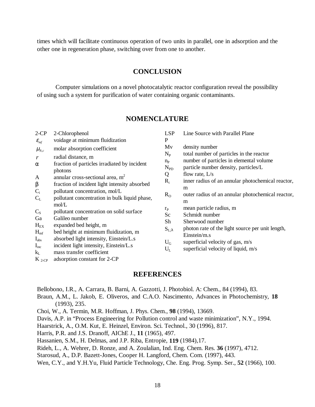times which will facilitate continuous operation of two units in parallel, one in adsorption and the other one in regeneration phase, switching over from one to another.

# **CONCLUSION**

Computer simulations on a novel photocatalytic reactor configuration reveal the possibility of using such a system for purification of water containing organic contaminants.

# **NOMENCLATURE**

| $2-CP$<br>$\mathcal{E}_{\mathit{mf}}$<br>$\mu_{\lambda,c}$<br>r<br>$\alpha$<br>$\mathbf{A}$<br>$\beta$<br>$C_i$<br>$C_{L}$<br>$C_{S}$<br>Ga<br>$H_{EX}$<br>$H_{\rm mf}$<br>$I_{\text{abs}}$<br>$I_{inc}$<br>$k_{L}$<br>$K_{2-CP}$ | 2-Chlorophenol<br>voidage at minimum fluidization<br>molar absorption coefficient<br>radial distance, m<br>fraction of particles irradiated by incident<br>photons<br>annular cross-sectional area, $m2$<br>fraction of incident light intensity absorbed<br>pollutant concentration, mol/L<br>pollutant concentration in bulk liquid phase,<br>mol/L<br>pollutant concentration on solid surface<br>Galileo number<br>expanded bed height, m<br>bed height at minimum fluidization, m<br>absorbed light intensity, Einstein/L.s<br>incident light intensity, Einstein/L.s<br>mass transfer coefficient<br>adsorption constant for 2-CP | LSP<br>$\mathbf P$<br>Mv<br>$N_{P}$<br>$n_{P}$<br>$N_{PD}$<br>Q<br>$R_i$<br>$R_{\rm O}$<br>$r_{\rm P}$<br>Sc<br>Sh<br>$S_{L;\lambda}$<br>$U_G$<br>$U_{L}$ | Line Source with Parallel Plane<br>density number<br>total number of particles in the reactor<br>number of particles in elemental volume<br>particle number density, particles/L<br>flow rate, $L/s$<br>inner radius of an annular photochemical reactor,<br>m<br>outer radius of an annular photochemical reactor,<br>m<br>mean particle radius, m<br>Schmidt number<br>Sherwood number<br>photon rate of the light source per unit length,<br>Einstein/m.s<br>superficial velocity of gas, m/s<br>superficial velocity of liquid, m/s |
|-----------------------------------------------------------------------------------------------------------------------------------------------------------------------------------------------------------------------------------|-----------------------------------------------------------------------------------------------------------------------------------------------------------------------------------------------------------------------------------------------------------------------------------------------------------------------------------------------------------------------------------------------------------------------------------------------------------------------------------------------------------------------------------------------------------------------------------------------------------------------------------------|-----------------------------------------------------------------------------------------------------------------------------------------------------------|-----------------------------------------------------------------------------------------------------------------------------------------------------------------------------------------------------------------------------------------------------------------------------------------------------------------------------------------------------------------------------------------------------------------------------------------------------------------------------------------------------------------------------------------|
|-----------------------------------------------------------------------------------------------------------------------------------------------------------------------------------------------------------------------------------|-----------------------------------------------------------------------------------------------------------------------------------------------------------------------------------------------------------------------------------------------------------------------------------------------------------------------------------------------------------------------------------------------------------------------------------------------------------------------------------------------------------------------------------------------------------------------------------------------------------------------------------------|-----------------------------------------------------------------------------------------------------------------------------------------------------------|-----------------------------------------------------------------------------------------------------------------------------------------------------------------------------------------------------------------------------------------------------------------------------------------------------------------------------------------------------------------------------------------------------------------------------------------------------------------------------------------------------------------------------------------|

# **REFERENCES**

Bellobono, I.R., A. Carrara, B. Barni, A. Gazzotti, J. Photobiol. A: Chem., 84 (1994), 83.

Braun, A.M., L. Jakob, E. Oliveros, and C.A.O. Nascimento, Advances in Photochemistry, **18** (1993), 235.

Choi, W., A. Termin, M.R. Hoffman, J. Phys. Chem., **98** (1994), 13669.

Davis, A.P. in "Process Engineering for Pollution control and waste minimization", N.Y., 1994.

Haarstrick, A., O.M. Kut, E. Heinzel, Environ. Sci. Technol., 30 (1996), 817.

Harris, P.R. and J.S. Dranoff, AIChE J., **11** (1965), 497.

Hassanien, S.M., H. Delmas, and J.P. Riba, Entropie, **119** (1984),17.

Rideh, L., A. Wehrer, D. Ronze, and A. Zoulalian, Ind. Eng. Chem. Res. **36** (1997), 4712.

Starosud, A., D.P. Bazett-Jones, Cooper H. Langford, Chem. Com. (1997), 443.

Wen, C.Y., and Y.H.Yu, Fluid Particle Technology, Che. Eng. Prog. Symp. Ser., **52** (1966), 100.